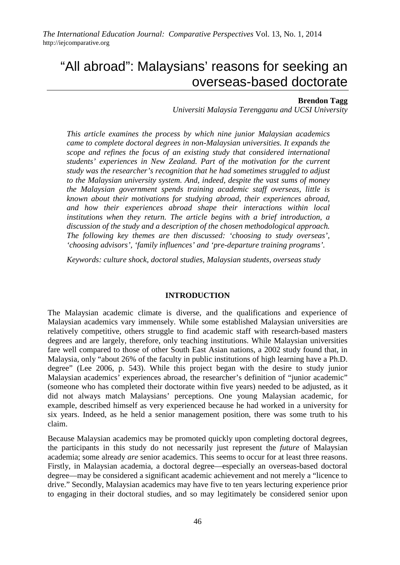# "All abroad": Malaysians' reasons for seeking an overseas-based doctorate

## **Brendon Tagg**

*Universiti Malaysia Terengganu and UCSI University*

*This article examines the process by which nine junior Malaysian academics came to complete doctoral degrees in non-Malaysian universities. It expands the scope and refines the focus of an existing study that considered international students' experiences in New Zealand. Part of the motivation for the current study was the researcher's recognition that he had sometimes struggled to adjust to the Malaysian university system. And, indeed, despite the vast sums of money the Malaysian government spends training academic staff overseas, little is known about their motivations for studying abroad, their experiences abroad, and how their experiences abroad shape their interactions within local institutions when they return. The article begins with a brief introduction, a discussion of the study and a description of the chosen methodological approach. The following key themes are then discussed: 'choosing to study overseas', 'choosing advisors', 'family influences' and 'pre-departure training programs'.*

*Keywords: culture shock, doctoral studies, Malaysian students, overseas study*

### **INTRODUCTION**

The Malaysian academic climate is diverse, and the qualifications and experience of Malaysian academics vary immensely. While some established Malaysian universities are relatively competitive, others struggle to find academic staff with research-based masters degrees and are largely, therefore, only teaching institutions. While Malaysian universities fare well compared to those of other South East Asian nations, a 2002 study found that, in Malaysia, only "about 26% of the faculty in public institutions of high learning have a Ph.D. degree" (Lee 2006, p. 543). While this project began with the desire to study junior Malaysian academics' experiences abroad, the researcher's definition of "junior academic" (someone who has completed their doctorate within five years) needed to be adjusted, as it did not always match Malaysians' perceptions. One young Malaysian academic, for example, described himself as very experienced because he had worked in a university for six years. Indeed, as he held a senior management position, there was some truth to his claim.

Because Malaysian academics may be promoted quickly upon completing doctoral degrees, the participants in this study do not necessarily just represent the *future* of Malaysian academia; some already *are* senior academics. This seems to occur for at least three reasons. Firstly, in Malaysian academia, a doctoral degree––especially an overseas-based doctoral degree––may be considered a significant academic achievement and not merely a "licence to drive." Secondly, Malaysian academics may have five to ten years lecturing experience prior to engaging in their doctoral studies, and so may legitimately be considered senior upon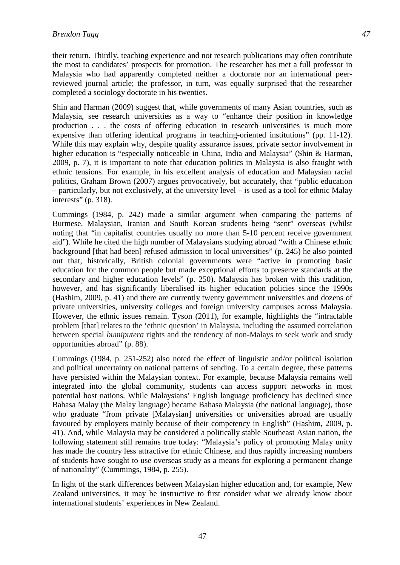their return. Thirdly, teaching experience and not research publications may often contribute the most to candidates' prospects for promotion. The researcher has met a full professor in Malaysia who had apparently completed neither a doctorate nor an international peerreviewed journal article; the professor, in turn, was equally surprised that the researcher completed a sociology doctorate in his twenties.

Shin and Harman (2009) suggest that, while governments of many Asian countries, such as Malaysia, see research universities as a way to "enhance their position in knowledge production . . . the costs of offering education in research universities is much more expensive than offering identical programs in teaching-oriented institutions" (pp. 11-12). While this may explain why, despite quality assurance issues, private sector involvement in higher education is "especially noticeable in China, India and Malaysia" (Shin & Harman, 2009, p. 7), it is important to note that education politics in Malaysia is also fraught with ethnic tensions. For example, in his excellent analysis of education and Malaysian racial politics, Graham Brown (2007) argues provocatively, but accurately, that "public education – particularly, but not exclusively, at the university level – is used as a tool for ethnic Malay interests" (p. 318).

Cummings (1984, p. 242) made a similar argument when comparing the patterns of Burmese, Malaysian, Iranian and South Korean students being "sent" overseas (whilst noting that "in capitalist countries usually no more than 5-10 percent receive government aid"). While he cited the high number of Malaysians studying abroad "with a Chinese ethnic background [that had been] refused admission to local universities" (p. 245) he also pointed out that, historically, British colonial governments were "active in promoting basic education for the common people but made exceptional efforts to preserve standards at the secondary and higher education levels" (p. 250). Malaysia has broken with this tradition, however, and has significantly liberalised its higher education policies since the 1990s (Hashim, 2009, p. 41) and there are currently twenty government universities and dozens of private universities, university colleges and foreign university campuses across Malaysia. However, the ethnic issues remain. Tyson (2011), for example, highlights the "intractable problem [that] relates to the 'ethnic question' in Malaysia, including the assumed correlation between special *bumiputera* rights and the tendency of non-Malays to seek work and study opportunities abroad" (p. 88).

Cummings (1984, p. 251-252) also noted the effect of linguistic and/or political isolation and political uncertainty on national patterns of sending. To a certain degree, these patterns have persisted within the Malaysian context. For example, because Malaysia remains well integrated into the global community, students can access support networks in most potential host nations. While Malaysians' English language proficiency has declined since Bahasa Malay (the Malay language) became Bahasa Malaysia (the national language), those who graduate "from private [Malaysian] universities or universities abroad are usually favoured by employers mainly because of their competency in English" (Hashim, 2009, p. 41). And, while Malaysia may be considered a politically stable Southeast Asian nation, the following statement still remains true today: "Malaysia's policy of promoting Malay unity has made the country less attractive for ethnic Chinese, and thus rapidly increasing numbers of students have sought to use overseas study as a means for exploring a permanent change of nationality" (Cummings, 1984, p. 255).

In light of the stark differences between Malaysian higher education and, for example, New Zealand universities, it may be instructive to first consider what we already know about international students' experiences in New Zealand.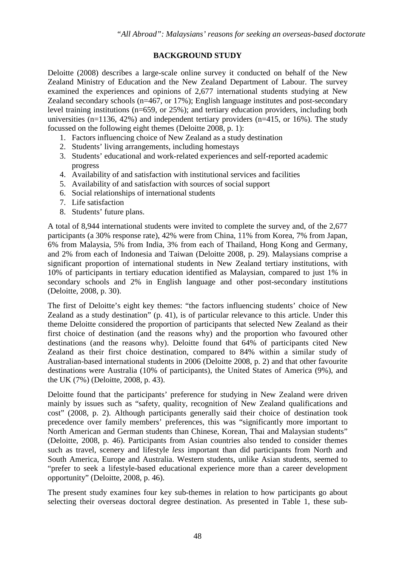# **BACKGROUND STUDY**

Deloitte (2008) describes a large-scale online survey it conducted on behalf of the New Zealand Ministry of Education and the New Zealand Department of Labour. The survey examined the experiences and opinions of 2,677 international students studying at New Zealand secondary schools (n=467, or 17%); English language institutes and post-secondary level training institutions (n=659, or 25%); and tertiary education providers, including both universities  $(n=1136, 42\%)$  and independent tertiary providers  $(n=415, \text{ or } 16\%)$ . The study focussed on the following eight themes (Deloitte 2008, p. 1):

- 1. Factors influencing choice of New Zealand as a study destination
- 2. Students' living arrangements, including homestays
- 3. Students' educational and work-related experiences and self-reported academic progress
- 4. Availability of and satisfaction with institutional services and facilities
- 5. Availability of and satisfaction with sources of social support
- 6. Social relationships of international students
- 7. Life satisfaction
- 8. Students' future plans.

A total of 8,944 international students were invited to complete the survey and, of the 2,677 participants (a 30% response rate), 42% were from China, 11% from Korea, 7% from Japan, 6% from Malaysia, 5% from India, 3% from each of Thailand, Hong Kong and Germany, and 2% from each of Indonesia and Taiwan (Deloitte 2008, p. 29). Malaysians comprise a significant proportion of international students in New Zealand tertiary institutions, with 10% of participants in tertiary education identified as Malaysian, compared to just 1% in secondary schools and 2% in English language and other post-secondary institutions (Deloitte, 2008, p. 30).

The first of Deloitte's eight key themes: "the factors influencing students' choice of New Zealand as a study destination" (p. 41), is of particular relevance to this article. Under this theme Deloitte considered the proportion of participants that selected New Zealand as their first choice of destination (and the reasons why) and the proportion who favoured other destinations (and the reasons why). Deloitte found that 64% of participants cited New Zealand as their first choice destination, compared to 84% within a similar study of Australian-based international students in 2006 (Deloitte 2008, p. 2) and that other favourite destinations were Australia (10% of participants), the United States of America (9%), and the UK (7%) (Deloitte, 2008, p. 43).

Deloitte found that the participants' preference for studying in New Zealand were driven mainly by issues such as "safety, quality, recognition of New Zealand qualifications and cost" (2008, p. 2). Although participants generally said their choice of destination took precedence over family members' preferences, this was "significantly more important to North American and German students than Chinese, Korean, Thai and Malaysian students" (Deloitte, 2008, p. 46). Participants from Asian countries also tended to consider themes such as travel, scenery and lifestyle *less* important than did participants from North and South America, Europe and Australia. Western students, unlike Asian students, seemed to "prefer to seek a lifestyle-based educational experience more than a career development opportunity" (Deloitte, 2008, p. 46).

The present study examines four key sub-themes in relation to how participants go about selecting their overseas doctoral degree destination. As presented in Table 1, these sub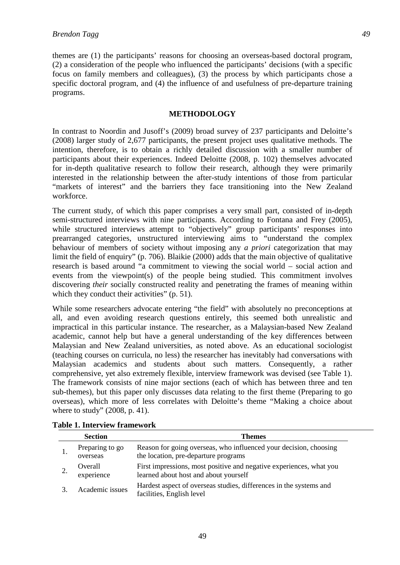themes are (1) the participants' reasons for choosing an overseas-based doctoral program, (2) a consideration of the people who influenced the participants' decisions (with a specific focus on family members and colleagues), (3) the process by which participants chose a specific doctoral program, and (4) the influence of and usefulness of pre-departure training programs.

## **METHODOLOGY**

In contrast to Noordin and Jusoff's (2009) broad survey of 237 participants and Deloitte's (2008) larger study of 2,677 participants, the present project uses qualitative methods. The intention, therefore, is to obtain a richly detailed discussion with a smaller number of participants about their experiences. Indeed Deloitte (2008, p. 102) themselves advocated for in-depth qualitative research to follow their research, although they were primarily interested in the relationship between the after-study intentions of those from particular "markets of interest" and the barriers they face transitioning into the New Zealand workforce.

The current study, of which this paper comprises a very small part, consisted of in-depth semi-structured interviews with nine participants. According to Fontana and Frey (2005), while structured interviews attempt to "objectively" group participants' responses into prearranged categories, unstructured interviewing aims to "understand the complex behaviour of members of society without imposing any *a priori* categorization that may limit the field of enquiry" (p. 706). Blaikie (2000) adds that the main objective of qualitative research is based around "a commitment to viewing the social world – social action and events from the viewpoint(s) of the people being studied. This commitment involves discovering *their* socially constructed reality and penetrating the frames of meaning within which they conduct their activities" (p. 51).

While some researchers advocate entering "the field" with absolutely no preconceptions at all, and even avoiding research questions entirely, this seemed both unrealistic and impractical in this particular instance. The researcher, as a Malaysian-based New Zealand academic, cannot help but have a general understanding of the key differences between Malaysian and New Zealand universities, as noted above. As an educational sociologist (teaching courses on curricula, no less) the researcher has inevitably had conversations with Malaysian academics and students about such matters. Consequently, a rather comprehensive, yet also extremely flexible, interview framework was devised (see Table 1). The framework consists of nine major sections (each of which has between three and ten sub-themes), but this paper only discusses data relating to the first theme (Preparing to go overseas), which more of less correlates with Deloitte's theme "Making a choice about where to study" (2008, p. 41).

| <b>Section</b>              | <b>Themes</b>                                                                                                |
|-----------------------------|--------------------------------------------------------------------------------------------------------------|
| Preparing to go<br>overseas | Reason for going overseas, who influenced your decision, choosing<br>the location, pre-departure programs    |
| Overall<br>experience       | First impressions, most positive and negative experiences, what you<br>learned about host and about yourself |
| Academic issues             | Hardest aspect of overseas studies, differences in the systems and<br>facilities, English level              |

|  |  |  |  | <b>Table 1. Interview framework</b> |
|--|--|--|--|-------------------------------------|
|--|--|--|--|-------------------------------------|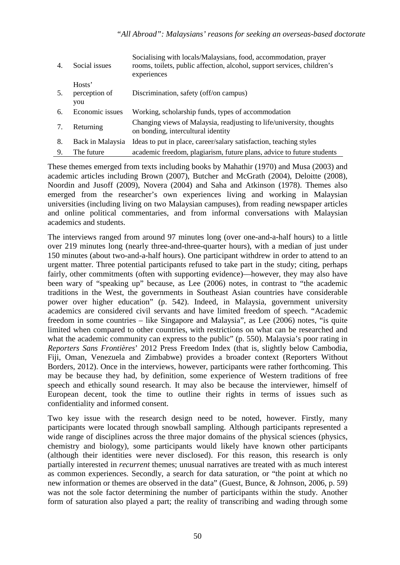| 4. | Social issues                  | Socialising with locals/Malaysians, food, accommodation, prayer<br>rooms, toilets, public affection, alcohol, support services, children's<br>experiences |  |
|----|--------------------------------|-----------------------------------------------------------------------------------------------------------------------------------------------------------|--|
| 5. | Hosts'<br>perception of<br>you | Discrimination, safety (off/on campus)                                                                                                                    |  |
| 6. | Economic issues                | Working, scholarship funds, types of accommodation                                                                                                        |  |
| 7. | Returning                      | Changing views of Malaysia, readjusting to life/university, thoughts<br>on bonding, intercultural identity                                                |  |
| 8. | Back in Malaysia               | Ideas to put in place, career/salary satisfaction, teaching styles                                                                                        |  |
| 9. | The future                     | academic freedom, plagiarism, future plans, advice to future students                                                                                     |  |

These themes emerged from texts including books by Mahathir (1970) and Musa (2003) and academic articles including Brown (2007), Butcher and McGrath (2004), Deloitte (2008), Noordin and Jusoff (2009), Novera (2004) and Saha and Atkinson (1978). Themes also emerged from the researcher's own experiences living and working in Malaysian universities (including living on two Malaysian campuses), from reading newspaper articles and online political commentaries, and from informal conversations with Malaysian academics and students.

The interviews ranged from around 97 minutes long (over one-and-a-half hours) to a little over 219 minutes long (nearly three-and-three-quarter hours), with a median of just under 150 minutes (about two-and-a-half hours). One participant withdrew in order to attend to an urgent matter. Three potential participants refused to take part in the study; citing, perhaps fairly, other commitments (often with supporting evidence)––however, they may also have been wary of "speaking up" because, as Lee (2006) notes, in contrast to "the academic traditions in the West, the governments in Southeast Asian countries have considerable power over higher education" (p. 542). Indeed, in Malaysia, government university academics are considered civil servants and have limited freedom of speech. "Academic freedom in some countries – like Singapore and Malaysia", as Lee (2006) notes, "is quite limited when compared to other countries, with restrictions on what can be researched and what the academic community can express to the public" (p. 550). Malaysia's poor rating in *Reporters Sans Frontières*' 2012 Press Freedom Index (that is, slightly below Cambodia, Fiji, Oman, Venezuela and Zimbabwe) provides a broader context (Reporters Without Borders, 2012). Once in the interviews, however, participants were rather forthcoming. This may be because they had, by definition, some experience of Western traditions of free speech and ethically sound research. It may also be because the interviewer, himself of European decent, took the time to outline their rights in terms of issues such as confidentiality and informed consent.

Two key issue with the research design need to be noted, however. Firstly, many participants were located through snowball sampling. Although participants represented a wide range of disciplines across the three major domains of the physical sciences (physics, chemistry and biology), some participants would likely have known other participants (although their identities were never disclosed). For this reason, this research is only partially interested in *recurrent* themes; unusual narratives are treated with as much interest as common experiences. Secondly, a search for data saturation, or "the point at which no new information or themes are observed in the data" (Guest, Bunce, & Johnson, 2006, p. 59) was not the sole factor determining the number of participants within the study. Another form of saturation also played a part; the reality of transcribing and wading through some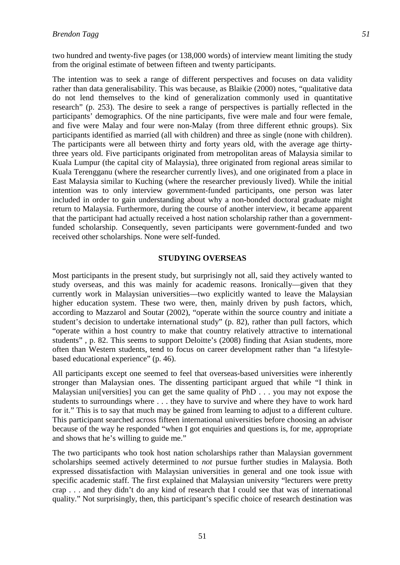two hundred and twenty-five pages (or 138,000 words) of interview meant limiting the study from the original estimate of between fifteen and twenty participants.

The intention was to seek a range of different perspectives and focuses on data validity rather than data generalisability. This was because, as Blaikie (2000) notes, "qualitative data do not lend themselves to the kind of generalization commonly used in quantitative research" (p. 253). The desire to seek a range of perspectives is partially reflected in the participants' demographics. Of the nine participants, five were male and four were female, and five were Malay and four were non-Malay (from three different ethnic groups). Six participants identified as married (all with children) and three as single (none with children). The participants were all between thirty and forty years old, with the average age thirtythree years old. Five participants originated from metropolitan areas of Malaysia similar to Kuala Lumpur (the capital city of Malaysia), three originated from regional areas similar to Kuala Terengganu (where the researcher currently lives), and one originated from a place in East Malaysia similar to Kuching (where the researcher previously lived). While the initial intention was to only interview government-funded participants, one person was later included in order to gain understanding about why a non-bonded doctoral graduate might return to Malaysia. Furthermore, during the course of another interview, it became apparent that the participant had actually received a host nation scholarship rather than a governmentfunded scholarship. Consequently, seven participants were government-funded and two received other scholarships. None were self-funded.

### **STUDYING OVERSEAS**

Most participants in the present study, but surprisingly not all, said they actively wanted to study overseas, and this was mainly for academic reasons. Ironically––given that they currently work in Malaysian universities––two explicitly wanted to leave the Malaysian higher education system. These two were, then, mainly driven by push factors, which, according to Mazzarol and Soutar (2002), "operate within the source country and initiate a student's decision to undertake international study" (p. 82), rather than pull factors, which "operate within a host country to make that country relatively attractive to international students" , p. 82. This seems to support Deloitte's (2008) finding that Asian students, more often than Western students, tend to focus on career development rather than "a lifestylebased educational experience" (p. 46).

All participants except one seemed to feel that overseas-based universities were inherently stronger than Malaysian ones. The dissenting participant argued that while "I think in Malaysian uni[versities] you can get the same quality of PhD . . . you may not expose the students to surroundings where . . . they have to survive and where they have to work hard for it." This is to say that much may be gained from learning to adjust to a different culture. This participant searched across fifteen international universities before choosing an advisor because of the way he responded "when I got enquiries and questions is, for me, appropriate and shows that he's willing to guide me."

The two participants who took host nation scholarships rather than Malaysian government scholarships seemed actively determined to *not* pursue further studies in Malaysia. Both expressed dissatisfaction with Malaysian universities in general and one took issue with specific academic staff. The first explained that Malaysian university "lecturers were pretty crap . . . and they didn't do any kind of research that I could see that was of international quality." Not surprisingly, then, this participant's specific choice of research destination was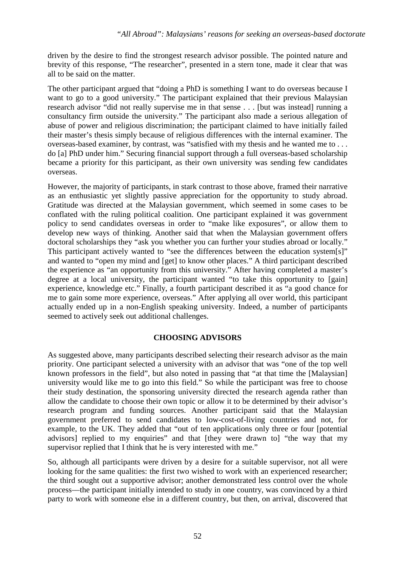driven by the desire to find the strongest research advisor possible. The pointed nature and brevity of this response, "The researcher", presented in a stern tone, made it clear that was all to be said on the matter.

The other participant argued that "doing a PhD is something I want to do overseas because I want to go to a good university." The participant explained that their previous Malaysian research advisor "did not really supervise me in that sense . . . [but was instead] running a consultancy firm outside the university." The participant also made a serious allegation of abuse of power and religious discrimination; the participant claimed to have initially failed their master's thesis simply because of religious differences with the internal examiner. The overseas-based examiner, by contrast, was "satisfied with my thesis and he wanted me to . . . do [a] PhD under him." Securing financial support through a full overseas-based scholarship became a priority for this participant, as their own university was sending few candidates overseas.

However, the majority of participants, in stark contrast to those above, framed their narrative as an enthusiastic yet slightly passive appreciation for the opportunity to study abroad. Gratitude was directed at the Malaysian government, which seemed in some cases to be conflated with the ruling political coalition. One participant explained it was government policy to send candidates overseas in order to "make like exposures", or allow them to develop new ways of thinking. Another said that when the Malaysian government offers doctoral scholarships they "ask you whether you can further your studies abroad or locally." This participant actively wanted to "see the differences between the education system[s]" and wanted to "open my mind and [get] to know other places." A third participant described the experience as "an opportunity from this university." After having completed a master's degree at a local university, the participant wanted "to take this opportunity to [gain] experience, knowledge etc." Finally, a fourth participant described it as "a good chance for me to gain some more experience, overseas." After applying all over world, this participant actually ended up in a non-English speaking university. Indeed, a number of participants seemed to actively seek out additional challenges.

# **CHOOSING ADVISORS**

As suggested above, many participants described selecting their research advisor as the main priority. One participant selected a university with an advisor that was "one of the top well known professors in the field", but also noted in passing that "at that time the [Malaysian] university would like me to go into this field." So while the participant was free to choose their study destination, the sponsoring university directed the research agenda rather than allow the candidate to choose their own topic or allow it to be determined by their advisor's research program and funding sources. Another participant said that the Malaysian government preferred to send candidates to low-cost-of-living countries and not, for example, to the UK. They added that "out of ten applications only three or four [potential advisors] replied to my enquiries" and that [they were drawn to] "the way that my supervisor replied that I think that he is very interested with me."

So, although all participants were driven by a desire for a suitable supervisor, not all were looking for the same qualities: the first two wished to work with an experienced researcher; the third sought out a supportive advisor; another demonstrated less control over the whole process––the participant initially intended to study in one country, was convinced by a third party to work with someone else in a different country, but then, on arrival, discovered that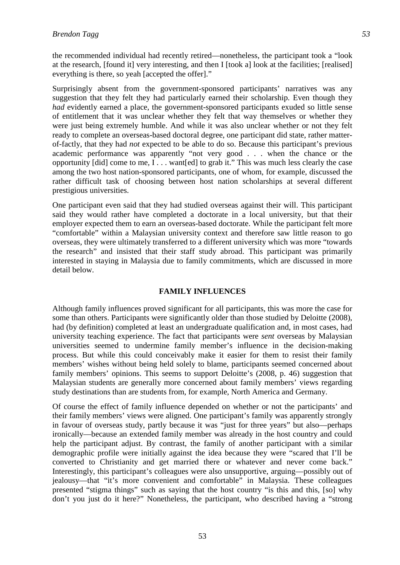the recommended individual had recently retired––nonetheless, the participant took a "look at the research, [found it] very interesting, and then I [took a] look at the facilities; [realised] everything is there, so yeah [accepted the offer]."

Surprisingly absent from the government-sponsored participants' narratives was any suggestion that they felt they had particularly earned their scholarship. Even though they *had* evidently earned a place, the government-sponsored participants exuded so little sense of entitlement that it was unclear whether they felt that way themselves or whether they were just being extremely humble. And while it was also unclear whether or not they felt ready to complete an overseas-based doctoral degree, one participant did state, rather matterof-factly, that they had *not* expected to be able to do so. Because this participant's previous academic performance was apparently "not very good . . . when the chance or the opportunity [did] come to me, I . . . want[ed] to grab it." This was much less clearly the case among the two host nation-sponsored participants, one of whom, for example, discussed the rather difficult task of choosing between host nation scholarships at several different prestigious universities.

One participant even said that they had studied overseas against their will. This participant said they would rather have completed a doctorate in a local university, but that their employer expected them to earn an overseas-based doctorate. While the participant felt more "comfortable" within a Malaysian university context and therefore saw little reason to go overseas, they were ultimately transferred to a different university which was more "towards the research" and insisted that their staff study abroad. This participant was primarily interested in staying in Malaysia due to family commitments, which are discussed in more detail below.

## **FAMILY INFLUENCES**

Although family influences proved significant for all participants, this was more the case for some than others. Participants were significantly older than those studied by Deloitte (2008), had (by definition) completed at least an undergraduate qualification and, in most cases, had university teaching experience. The fact that participants were *sent* overseas by Malaysian universities seemed to undermine family member's influence in the decision-making process. But while this could conceivably make it easier for them to resist their family members' wishes without being held solely to blame, participants seemed concerned about family members' opinions. This seems to support Deloitte's (2008, p. 46) suggestion that Malaysian students are generally more concerned about family members' views regarding study destinations than are students from, for example, North America and Germany.

Of course the effect of family influence depended on whether or not the participants' and their family members' views were aligned. One participant's family was apparently strongly in favour of overseas study, partly because it was "just for three years" but also––perhaps ironically––because an extended family member was already in the host country and could help the participant adjust. By contrast, the family of another participant with a similar demographic profile were initially against the idea because they were "scared that I'll be converted to Christianity and get married there or whatever and never come back." Interestingly, this participant's colleagues were also unsupportive, arguing––possibly out of jealousy––that "it's more convenient and comfortable" in Malaysia. These colleagues presented "stigma things" such as saying that the host country "is this and this, [so] why don't you just do it here?" Nonetheless, the participant, who described having a "strong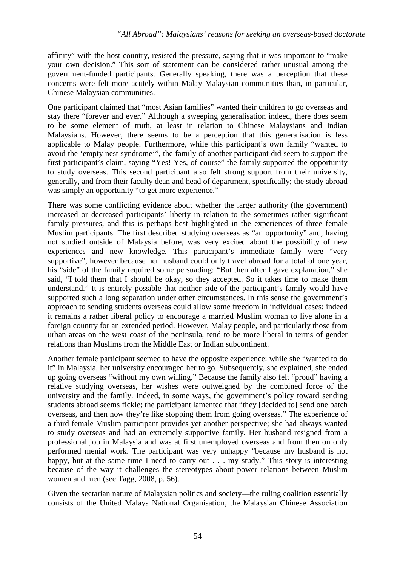affinity" with the host country, resisted the pressure, saying that it was important to "make your own decision." This sort of statement can be considered rather unusual among the government-funded participants. Generally speaking, there was a perception that these concerns were felt more acutely within Malay Malaysian communities than, in particular, Chinese Malaysian communities.

One participant claimed that "most Asian families" wanted their children to go overseas and stay there "forever and ever." Although a sweeping generalisation indeed, there does seem to be some element of truth, at least in relation to Chinese Malaysians and Indian Malaysians. However, there seems to be a perception that this generalisation is less applicable to Malay people. Furthermore, while this participant's own family "wanted to avoid the 'empty nest syndrome'", the family of another participant did seem to support the first participant's claim, saying "Yes! Yes, of course" the family supported the opportunity to study overseas. This second participant also felt strong support from their university, generally, and from their faculty dean and head of department, specifically; the study abroad was simply an opportunity "to get more experience."

There was some conflicting evidence about whether the larger authority (the government) increased or decreased participants' liberty in relation to the sometimes rather significant family pressures, and this is perhaps best highlighted in the experiences of three female Muslim participants. The first described studying overseas as "an opportunity" and, having not studied outside of Malaysia before, was very excited about the possibility of new experiences and new knowledge. This participant's immediate family were "very supportive", however because her husband could only travel abroad for a total of one year, his "side" of the family required some persuading: "But then after I gave explanation," she said, "I told them that I should be okay, so they accepted. So it takes time to make them understand." It is entirely possible that neither side of the participant's family would have supported such a long separation under other circumstances. In this sense the government's approach to sending students overseas could allow some freedom in individual cases; indeed it remains a rather liberal policy to encourage a married Muslim woman to live alone in a foreign country for an extended period. However, Malay people, and particularly those from urban areas on the west coast of the peninsula, tend to be more liberal in terms of gender relations than Muslims from the Middle East or Indian subcontinent.

Another female participant seemed to have the opposite experience: while she "wanted to do it" in Malaysia, her university encouraged her to go. Subsequently, she explained, she ended up going overseas "without my own willing." Because the family also felt "proud" having a relative studying overseas, her wishes were outweighed by the combined force of the university and the family. Indeed, in some ways, the government's policy toward sending students abroad seems fickle; the participant lamented that "they [decided to] send one batch overseas, and then now they're like stopping them from going overseas." The experience of a third female Muslim participant provides yet another perspective; she had always wanted to study overseas and had an extremely supportive family. Her husband resigned from a professional job in Malaysia and was at first unemployed overseas and from then on only performed menial work. The participant was very unhappy "because my husband is not happy, but at the same time I need to carry out . . . my study." This story is interesting because of the way it challenges the stereotypes about power relations between Muslim women and men (see Tagg, 2008, p. 56).

Given the sectarian nature of Malaysian politics and society––the ruling coalition essentially consists of the United Malays National Organisation, the Malaysian Chinese Association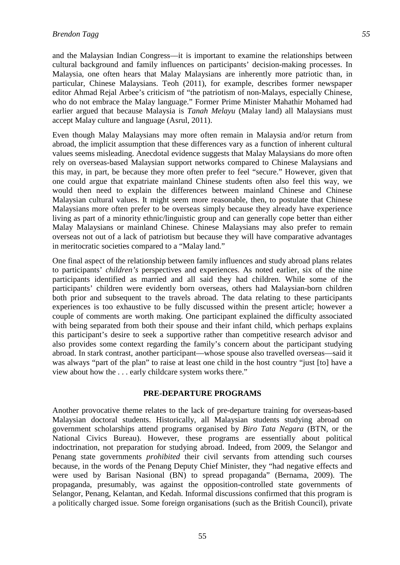and the Malaysian Indian Congress––it is important to examine the relationships between cultural background and family influences on participants' decision-making processes. In Malaysia, one often hears that Malay Malaysians are inherently more patriotic than, in particular, Chinese Malaysians. Teoh (2011), for example, describes former newspaper editor Ahmad Rejal Arbee's criticism of "the patriotism of non-Malays, especially Chinese, who do not embrace the Malay language." Former Prime Minister Mahathir Mohamed had earlier argued that because Malaysia is *Tanah Melayu* (Malay land) all Malaysians must accept Malay culture and language (Asrul, 2011).

Even though Malay Malaysians may more often remain in Malaysia and/or return from abroad, the implicit assumption that these differences vary as a function of inherent cultural values seems misleading. Anecdotal evidence suggests that Malay Malaysians do more often rely on overseas-based Malaysian support networks compared to Chinese Malaysians and this may, in part, be because they more often prefer to feel "secure." However, given that one could argue that expatriate mainland Chinese students often also feel this way, we would then need to explain the differences between mainland Chinese and Chinese Malaysian cultural values. It might seem more reasonable, then, to postulate that Chinese Malaysians more often prefer to be overseas simply because they already have experience living as part of a minority ethnic/linguistic group and can generally cope better than either Malay Malaysians or mainland Chinese. Chinese Malaysians may also prefer to remain overseas not out of a lack of patriotism but because they will have comparative advantages in meritocratic societies compared to a "Malay land."

One final aspect of the relationship between family influences and study abroad plans relates to participants' *children's* perspectives and experiences. As noted earlier, six of the nine participants identified as married and all said they had children. While some of the participants' children were evidently born overseas, others had Malaysian-born children both prior and subsequent to the travels abroad. The data relating to these participants experiences is too exhaustive to be fully discussed within the present article; however a couple of comments are worth making. One participant explained the difficulty associated with being separated from both their spouse and their infant child, which perhaps explains this participant's desire to seek a supportive rather than competitive research advisor and also provides some context regarding the family's concern about the participant studying abroad. In stark contrast, another participant––whose spouse also travelled overseas––said it was always "part of the plan" to raise at least one child in the host country "just [to] have a view about how the . . . early childcare system works there."

## **PRE-DEPARTURE PROGRAMS**

Another provocative theme relates to the lack of pre-departure training for overseas-based Malaysian doctoral students. Historically, all Malaysian students studying abroad on government scholarships attend programs organised by *Biro Tata Negara* (BTN, or the National Civics Bureau). However, these programs are essentially about political indoctrination, not preparation for studying abroad. Indeed, from 2009, the Selangor and Penang state governments *prohibited* their civil servants from attending such courses because, in the words of the Penang Deputy Chief Minister, they "had negative effects and were used by Barisan Nasional (BN) to spread propaganda" (Bernama, 2009). The propaganda, presumably, was against the opposition-controlled state governments of Selangor, Penang, Kelantan, and Kedah. Informal discussions confirmed that this program is a politically charged issue. Some foreign organisations (such as the British Council), private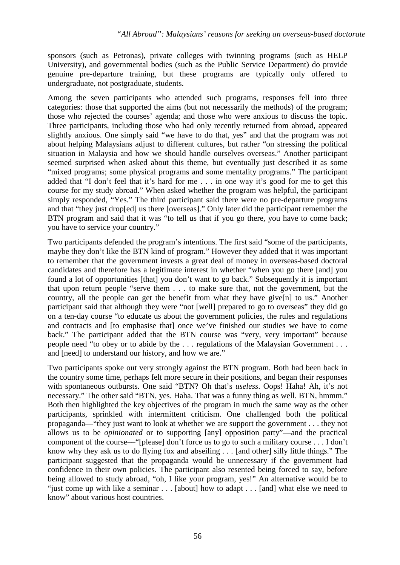sponsors (such as Petronas), private colleges with twinning programs (such as HELP University), and governmental bodies (such as the Public Service Department) do provide genuine pre-departure training, but these programs are typically only offered to undergraduate, not postgraduate, students.

Among the seven participants who attended such programs, responses fell into three categories: those that supported the aims (but not necessarily the methods) of the program; those who rejected the courses' agenda; and those who were anxious to discuss the topic. Three participants, including those who had only recently returned from abroad, appeared slightly anxious. One simply said "we have to do that, yes" and that the program was not about helping Malaysians adjust to different cultures, but rather "on stressing the political situation in Malaysia and how we should handle ourselves overseas." Another participant seemed surprised when asked about this theme, but eventually just described it as some "mixed programs; some physical programs and some mentality programs." The participant added that "I don't feel that it's hard for me . . . in one way it's good for me to get this course for my study abroad." When asked whether the program was helpful, the participant simply responded, "Yes." The third participant said there were no pre-departure programs and that "they just drop[ed] us there [overseas]." Only later did the participant remember the BTN program and said that it was "to tell us that if you go there, you have to come back; you have to service your country."

Two participants defended the program's intentions. The first said "some of the participants, maybe they don't like the BTN kind of program." However they added that it was important to remember that the government invests a great deal of money in overseas-based doctoral candidates and therefore has a legitimate interest in whether "when you go there [and] you found a lot of opportunities [that] you don't want to go back." Subsequently it is important that upon return people "serve them . . . to make sure that, not the government, but the country, all the people can get the benefit from what they have give[n] to us." Another participant said that although they were "not [well] prepared to go to overseas" they did go on a ten-day course "to educate us about the government policies, the rules and regulations and contracts and [to emphasise that] once we've finished our studies we have to come back." The participant added that the BTN course was "very, very important" because people need "to obey or to abide by the . . . regulations of the Malaysian Government . . . and [need] to understand our history, and how we are."

Two participants spoke out very strongly against the BTN program. Both had been back in the country some time, perhaps felt more secure in their positions, and began their responses with spontaneous outbursts. One said "BTN? Oh that's *useless*. Oops! Haha! Ah, it's not necessary." The other said "BTN, yes. Haha. That was a funny thing as well. BTN, hmmm." Both then highlighted the key objectives of the program in much the same way as the other participants, sprinkled with intermittent criticism. One challenged both the political propaganda––"they just want to look at whether we are support the government . . . they not allows us to be *opinionated* or to supporting [any] opposition party"––and the practical component of the course––"[please] don't force us to go to such a military course . . . I don't know why they ask us to do flying fox and abseiling . . . [and other] silly little things." The participant suggested that the propaganda would be unnecessary if the government had confidence in their own policies. The participant also resented being forced to say, before being allowed to study abroad, "oh, I like your program, yes!" An alternative would be to "just come up with like a seminar . . . [about] how to adapt . . . [and] what else we need to know" about various host countries.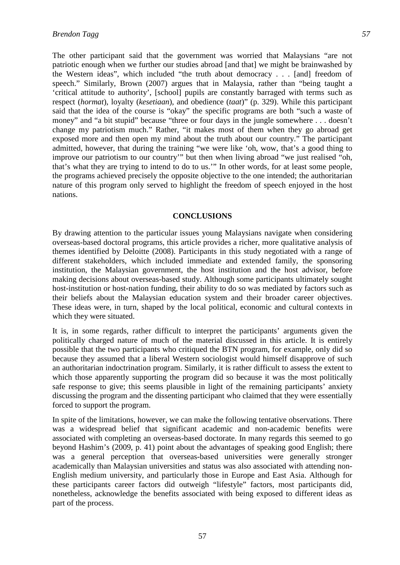The other participant said that the government was worried that Malaysians "are not patriotic enough when we further our studies abroad [and that] we might be brainwashed by the Western ideas", which included "the truth about democracy . . . [and] freedom of speech." Similarly, Brown (2007) argues that in Malaysia, rather than "being taught a 'critical attitude to authority', [school] pupils are constantly barraged with terms such as respect (*hormat*), loyalty (*kesetiaan*), and obedience (*taat*)" (p. 329). While this participant said that the idea of the course is "okay" the specific programs are both "such a waste of money" and "a bit stupid" because "three or four days in the jungle somewhere . . . doesn't change my patriotism much." Rather, "it makes most of them when they go abroad get exposed more and then open my mind about the truth about our country." The participant admitted, however, that during the training "we were like 'oh, wow, that's a good thing to improve our patriotism to our country'" but then when living abroad "we just realised "oh, that's what they are trying to intend to do to us.'" In other words, for at least some people, the programs achieved precisely the opposite objective to the one intended; the authoritarian nature of this program only served to highlight the freedom of speech enjoyed in the host nations.

### **CONCLUSIONS**

By drawing attention to the particular issues young Malaysians navigate when considering overseas-based doctoral programs, this article provides a richer, more qualitative analysis of themes identified by Deloitte (2008). Participants in this study negotiated with a range of different stakeholders, which included immediate and extended family, the sponsoring institution, the Malaysian government, the host institution and the host advisor, before making decisions about overseas-based study. Although some participants ultimately sought host-institution or host-nation funding, their ability to do so was mediated by factors such as their beliefs about the Malaysian education system and their broader career objectives. These ideas were, in turn, shaped by the local political, economic and cultural contexts in which they were situated.

It is, in some regards, rather difficult to interpret the participants' arguments given the politically charged nature of much of the material discussed in this article. It is entirely possible that the two participants who critiqued the BTN program, for example, only did so because they assumed that a liberal Western sociologist would himself disapprove of such an authoritarian indoctrination program. Similarly, it is rather difficult to assess the extent to which those apparently supporting the program did so because it was the most politically safe response to give; this seems plausible in light of the remaining participants' anxiety discussing the program and the dissenting participant who claimed that they were essentially forced to support the program.

In spite of the limitations, however, we can make the following tentative observations. There was a widespread belief that significant academic and non-academic benefits were associated with completing an overseas-based doctorate. In many regards this seemed to go beyond Hashim's (2009, p. 41) point about the advantages of speaking good English; there was a general perception that overseas-based universities were generally stronger academically than Malaysian universities and status was also associated with attending non-English medium university, and particularly those in Europe and East Asia. Although for these participants career factors did outweigh "lifestyle" factors, most participants did, nonetheless, acknowledge the benefits associated with being exposed to different ideas as part of the process.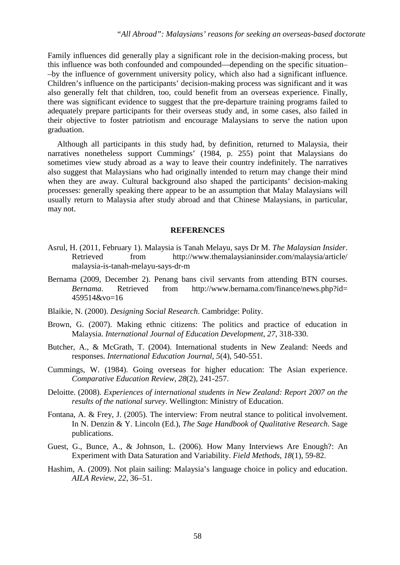Family influences did generally play a significant role in the decision-making process, but this influence was both confounded and compounded––depending on the specific situation– –by the influence of government university policy, which also had a significant influence. Children's influence on the participants' decision-making process was significant and it was also generally felt that children, too, could benefit from an overseas experience. Finally, there was significant evidence to suggest that the pre-departure training programs failed to adequately prepare participants for their overseas study and, in some cases, also failed in their objective to foster patriotism and encourage Malaysians to serve the nation upon graduation.

Although all participants in this study had, by definition, returned to Malaysia, their narratives nonetheless support Cummings' (1984, p. 255) point that Malaysians do sometimes view study abroad as a way to leave their country indefinitely. The narratives also suggest that Malaysians who had originally intended to return may change their mind when they are away. Cultural background also shaped the participants' decision-making processes: generally speaking there appear to be an assumption that Malay Malaysians will usually return to Malaysia after study abroad and that Chinese Malaysians, in particular, may not.

#### **REFERENCES**

- Asrul, H. (2011, February 1). Malaysia is Tanah Melayu, says Dr M. *The Malaysian Insider*. Retrieved from http://www.themalaysianinsider.com/malaysia/article/ malaysia-is-tanah-melayu-says-dr-m
- Bernama (2009, December 2). Penang bans civil servants from attending BTN courses. *Bernama*. Retrieved from http://www.bernama.com/finance/news.php?id= 459514&vo=16
- Blaikie, N. (2000). *Designing Social Research*. Cambridge: Polity.
- Brown, G. (2007). Making ethnic citizens: The politics and practice of education in Malaysia. *International Journal of Education Development*, *27*, 318-330.
- Butcher, A., & McGrath, T. (2004). International students in New Zealand: Needs and responses. *International Education Journal*, *5*(4), 540-551.
- Cummings, W. (1984). Going overseas for higher education: The Asian experience. *Comparative Education Review*, *28*(2), 241-257.
- Deloitte. (2008). *Experiences of international students in New Zealand: Report 2007 on the results of the national survey*. Wellington: Ministry of Education.
- Fontana, A. & Frey, J. (2005). The interview: From neutral stance to political involvement. In N. Denzin & Y. Lincoln (Ed.), *The Sage Handbook of Qualitative Research*. Sage publications.
- Guest, G., Bunce, A., & Johnson, L. (2006). How Many Interviews Are Enough?: An Experiment with Data Saturation and Variability. *Field Methods*, *18*(1), 59-82.
- Hashim, A. (2009). Not plain sailing: Malaysia's language choice in policy and education. *AILA Review*, *22*, 36–51.